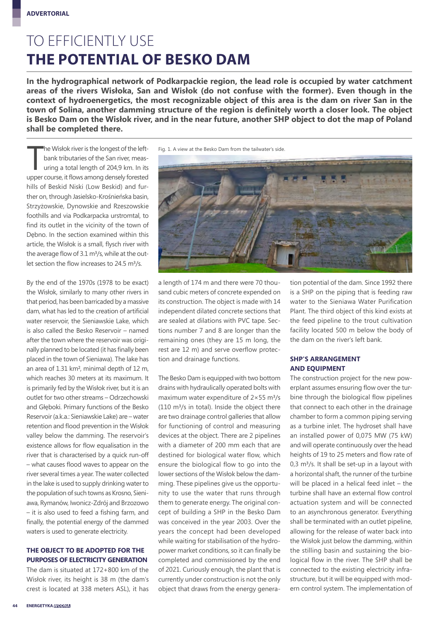### TO EFFICIENTLY USE **THE POTENTIAL OF BESKO DAM**

**In the hydrographical network of Podkarpackie region, the lead role is occupied by water catchment areas of the rivers Wisłoka, San and Wisłok (do not confuse with the former). Even though in the context of hydroenergetics, the most recognizable object of this area is the dam on river San in the town of Solina, another damming structure of the region is definitely worth a closer look. The object is Besko Dam on the Wisłok river, and in the near future, another SHP object to dot the map of Poland shall be completed there.**

he Wisłok river is the longest of the left-<br>bank tributaries of the San river, meas-<br>uring a total length of 204,9 km. In its<br>upper course, it flows among densely forested he Wisłok river is the longest of the leftbank tributaries of the San river, measuring a total length of 204,9 km. In its hills of Beskid Niski (Low Beskid) and further on, through Jasielsko-Krośnieńska basin, Strzyżowskie, Dynowskie and Rzeszowskie foothills and via Podkarpacka urstromtal, to find its outlet in the vicinity of the town of Dębno. In the section examined within this article, the Wisłok is a small, flysch river with the average flow of 3.1 m<sup>3</sup>/s, while at the outlet section the flow increases to 24.5 m3/s.

By the end of the 1970s (1978 to be exact) the Wisłok, similarly to many other rivers in that period, has been barricaded by a massive dam, what has led to the creation of artificial water reservoir, the Sieniawskie Lake, which is also called the Besko Reservoir – named after the town where the reservoir was originally planned to be located (it has finally been placed in the town of Sieniawa). The lake has an area of 1.31 km2, minimal depth of 12 m, which reaches 30 meters at its maximum. It is primarily fed by the Wisłok river, but it is an outlet for two other streams – Odrzechowski and Głęboki. Primary functions of the Besko Reservoir (a.k.a.: Sieniawskie Lake) are – water retention and flood prevention in the Wisłok valley below the damming. The reservoir's existence allows for flow equalisation in the river that is characterised by a quick run-off – what causes flood waves to appear on the river several times a year. The water collected in the lake is used to supply drinking water to the population of such towns as Krosno, Sieniawa, Rymanów, Iwonicz-Zdrój and Brzozowo – it is also used to feed a fishing farm, and finally, the potential energy of the dammed waters is used to generate electricity.

#### **THE OBJECT TO BE ADOPTED FOR THE PURPOSES OF ELECTRICITY GENERATION**

The dam is situated at 172+800 km of the Wisłok river, its height is 38 m (the dam's crest is located at 338 meters ASL), it has

Fig. 1. A view at the Besko Dam from the tailwater's side.



a length of 174 m and there were 70 thousand cubic meters of concrete expended on its construction. The object is made with 14 independent dilated concrete sections that are sealed at dilations with PVC tape. Sections number 7 and 8 are longer than the remaining ones (they are 15 m long, the rest are 12 m) and serve overflow protection and drainage functions.

The Besko Dam is equipped with two bottom drains with hydraulically operated bolts with maximum water expenditure of  $2 \times 55$  m<sup>3</sup>/s (110 m3/s in total). Inside the object there are two drainage control galleries that allow for functioning of control and measuring devices at the object. There are 2 pipelines with a diameter of 200 mm each that are destined for biological water flow, which ensure the biological flow to go into the lower sections of the Wisłok below the damming. These pipelines give us the opportunity to use the water that runs through them to generate energy. The original concept of building a SHP in the Besko Dam was conceived in the year 2003. Over the years the concept had been developed while waiting for stabilisation of the hydropower market conditions, so it can finally be completed and commissioned by the end of 2021. Curiously enough, the plant that is currently under construction is not the only object that draws from the energy generation potential of the dam. Since 1992 there is a SHP on the piping that is feeding raw water to the Sieniawa Water Purification Plant. The third object of this kind exists at the feed pipeline to the trout cultivation facility located 500 m below the body of the dam on the river's left bank.

#### **SHP'S ARRANGEMENT AND EQUIPMENT**

The construction project for the new powerplant assumes ensuring flow over the turbine through the biological flow pipelines that connect to each other in the drainage chamber to form a common piping serving as a turbine inlet. The hydroset shall have an installed power of 0,075 MW (75 kW) and will operate continuously over the head heights of 19 to 25 meters and flow rate of 0,3 m3/s. It shall be set-up in a layout with a horizontal shaft, the runner of the turbine will be placed in a helical feed inlet – the turbine shall have an external flow control actuation system and will be connected to an asynchronous generator. Everything shall be terminated with an outlet pipeline, allowing for the release of water back into the Wisłok just below the damming, within the stilling basin and sustaining the biological flow in the river. The SHP shall be connected to the existing electricity infrastructure, but it will be equipped with modern control system. The implementation of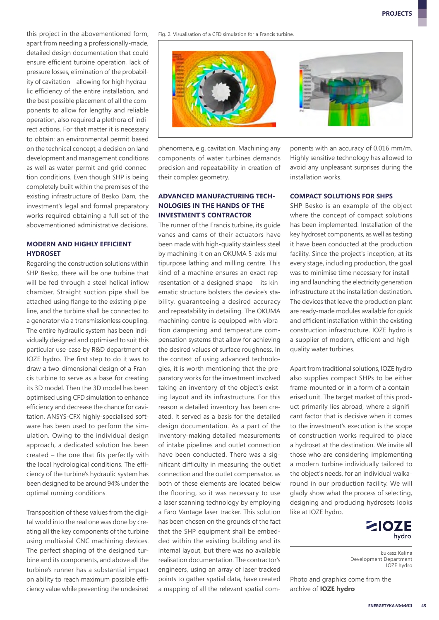this project in the abovementioned form, apart from needing a professionally-made, detailed design documentation that could ensure efficient turbine operation, lack of pressure losses, elimination of the probability of cavitation – allowing for high hydraulic efficiency of the entire installation, and the best possible placement of all the components to allow for lengthy and reliable operation, also required a plethora of indirect actions. For that matter it is necessary to obtain: an environmental permit based on the technical concept, a decision on land development and management conditions as well as water permit and grid connection conditions. Even though SHP is being completely built within the premises of the existing infrastructure of Besko Dam, the investment's legal and formal preparatory works required obtaining a full set of the abovementioned administrative decisions.

#### **MODERN AND HIGHLY EFFICIENT HYDROSET**

Regarding the construction solutions within SHP Besko, there will be one turbine that will be fed through a steel helical inflow chamber. Straight suction pipe shall be attached using flange to the existing pipeline, and the turbine shall be connected to a generator via a transmissionless coupling. The entire hydraulic system has been individually designed and optimised to suit this particular use-case by R&D department of IOZE hydro. The first step to do it was to draw a two-dimensional design of a Francis turbine to serve as a base for creating its 3D model. Then the 3D model has been optimised using CFD simulation to enhance efficiency and decrease the chance for cavitation. ANSYS-CFX highly-specialised software has been used to perform the simulation. Owing to the individual design approach, a dedicated solution has been created – the one that fits perfectly with the local hydrological conditions. The efficiency of the turbine's hydraulic system has been designed to be around 94% under the optimal running conditions.

Transposition of these values from the digital world into the real one was done by creating all the key components of the turbine using multiaxial CNC machining devices. The perfect shaping of the designed turbine and its components, and above all the turbine's runner has a substantial impact on ability to reach maximum possible efficiency value while preventing the undesired

Fig. 2. Visualisation of a CFD simulation for a Francis turbine.



phenomena, e.g. cavitation. Machining any components of water turbines demands precision and repeatability in creation of their complex geometry.

#### **ADVANCED MANUFACTURING TECH-NOLOGIES IN THE HANDS OF THE INVESTMENT'S CONTRACTOR**

The runner of the Francis turbine, its quide vanes and cams of their actuators have been made with high-quality stainless steel by machining it on an OKUMA 5-axis multipurpose lathing and milling centre. This kind of a machine ensures an exact representation of a designed shape – its kinematic structure bolsters the device's stability, guaranteeing a desired accuracy and repeatability in detailing. The OKUMA machining centre is equipped with vibration dampening and temperature compensation systems that allow for achieving the desired values of surface roughness. In the context of using advanced technologies, it is worth mentioning that the preparatory works for the investment involved taking an inventory of the object's existing layout and its infrastructure. For this reason a detailed inventory has been created. It served as a basis for the detailed design documentation. As a part of the inventory-making detailed measurements of intake pipelines and outlet connection have been conducted. There was a significant difficulty in measuring the outlet connection and the outlet compensator, as both of these elements are located below the flooring, so it was necessary to use a laser scanning technology by employing a Faro Vantage laser tracker. This solution has been chosen on the grounds of the fact that the SHP equipment shall be embedded within the existing building and its internal layout, but there was no available realisation documentation. The contractor's engineers, using an array of laser tracked points to gather spatial data, have created a mapping of all the relevant spatial com-

ponents with an accuracy of 0.016 mm/m. Highly sensitive technology has allowed to avoid any unpleasant surprises during the installation works.

#### **COMPACT SOLUTIONS FOR SHPS**

SHP Besko is an example of the object where the concept of compact solutions has been implemented. Installation of the key hydroset components, as well as testing it have been conducted at the production facility. Since the project's inception, at its every stage, including production, the goal was to minimise time necessary for installing and launching the electricity generation infrastructure at the installation destination. The devices that leave the production plant are ready-made modules available for quick and efficient installation within the existing construction infrastructure. IOZE hydro is a supplier of modern, efficient and highquality water turbines.

Apart from traditional solutions, IOZE hydro also supplies compact SHPs to be either frame-mounted or in a form of a containerised unit. The target market of this product primarily lies abroad, where a significant factor that is decisive when it comes to the investment's execution is the scope of construction works required to place a hydroset at the destination. We invite all those who are considering implementing a modern turbine individually tailored to the object's needs, for an individual walkaround in our production facility. We will gladly show what the process of selecting, designing and producing hydrosets looks like at IOZE hydro.



Łukasz Kalina Development Department IOZE hydro

Photo and graphics come from the archive of **IOZE hydro**